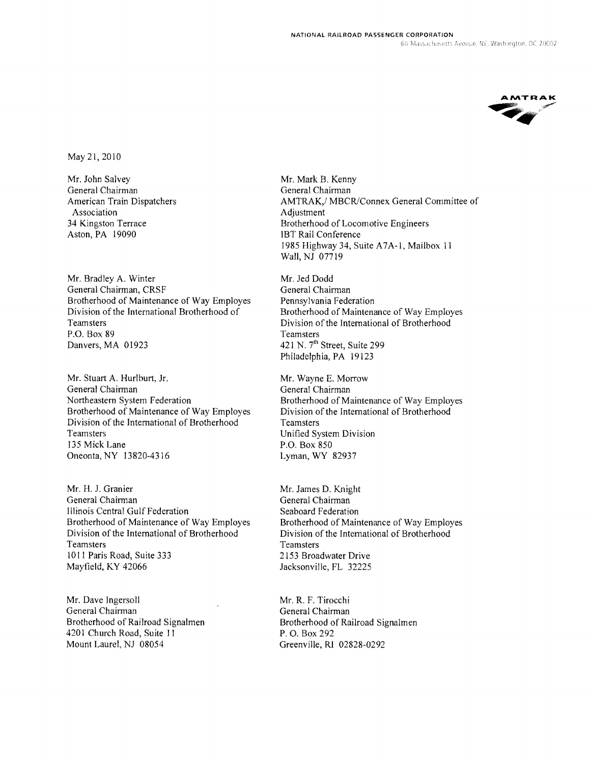

May 21,2010

Mr. John Salvey General Chairman American Train Dispatchers Association 34 Kingston Terrace Aston, PA 19090

Mr. Bradley A. Winter General Chairman, CRSF Brotherhood of Maintenance of Way Employes Division of the International Brotherhood of Teamsters P.O. Box 89 Danvers, MA 01923

Mr. Stuart A. Hurlburt, Jr. General Chairman Northeastern System Federation Brotherhood of Maintenance of Way Employes Division of the International of Brotherhood Teamsters 135 Mick Lane Oneonta, NY 13820-4316

Mr. H. J. Granier General Chairman Illinois Central Gulf Federation Brotherhood of Maintenance of Way Employes Division of the International of Brotherhood Teamsters 1011 Paris Road, Suite 333 Mayfield, KY 42066

Mr. Dave Ingersoll General Chairman Brotherhood of Railroad Signalmen 4201 Church Road, Suite 11 Mount Laurel, NJ 08054

Mr. Mark B. Kenny General Chairman AMTRAK,/ MBCR/Connex General Committee of Adjustment Brotherhood of Locomotive Engineers IBT Rail Conference 1985 Highway 34, Suite A7A-I, Mailbox 11 Wall, NJ 07719

Mr. Jed Dodd General Chairman Pennsylvania Federation Brotherhood of Maintenance of Way Employes Division of the International of Brotherhood Teamsters 421 N. 7<sup>th</sup> Street, Suite 299 Philadelphia, PA 19123

Mr. Wayne E. Morrow General Chairman Brotherhood of Maintenance of Way Employes Division of the International of Brotherhood **Teamsters** Unified System Division P.O. Box 850 Lyman, WY 82937

Mr. James D. Knight General Chairman Seaboard Federation Brotherhood of Maintenance of Way Employes Division of the International of Brotherhood **Teamsters** 2153 Broadwater Drive Jacksonville, FL 32225

Mr. R. F. Tirocchi General Chairman Brotherhood of Railroad Signalmen P. O. Box 292 Greenville, RI 02828-0292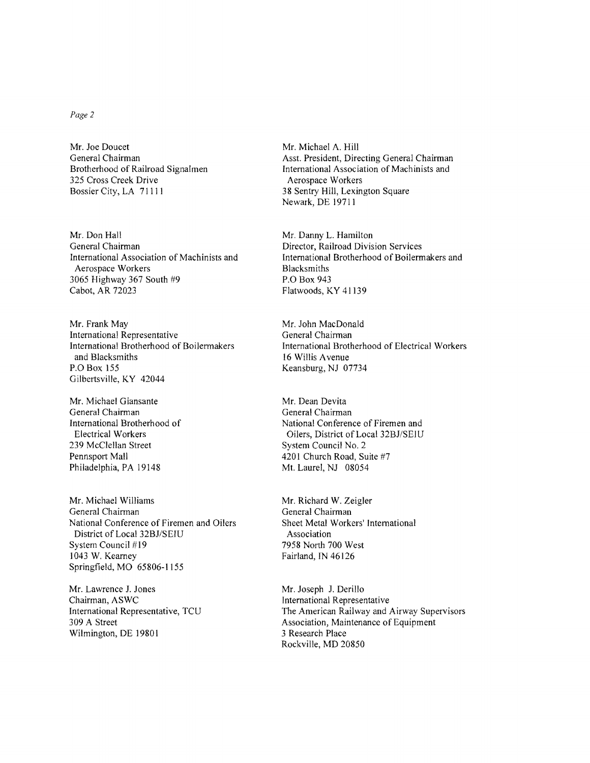## *Page* 2

Mr. Joe Doucet General Chairman Brotherhood of Railroad Signalmen 325 Cross Creek Drive Bossier City, LA 71111

Mr. Don Hall General Chairman International Association of Machinists and Aerospace Workers 3065 Highway 367 South #9 Cabot, AR 72023

Mr. Frank May International Representative International Brotherhood of Boilermakers and Blacksmiths P.O Box 155 Gilbertsville, KY 42044

Mr. Michael Giansante General Chairman International Brotherhood of Electrical Workers 239 McClellan Street Pennsport Mall Philadelphia, PA 19148

Mr. Michael Williams General Chairman National Conference of Firemen and Oilers District of Local 32BJ/SEIU System Council #19 1043 W. Kearney Springfield, MO 65806-1155

Mr. Lawrence 1. Jones Chairman, ASWC International Representative, TCU 309 A Street Wilmington, DE 19801

Mr. Michael A. Hill Asst. President, Directing General Chairman International Association of Machinists and Aerospace Workers 38 Sentry Hill, Lexington Square Newark, DE 19711

Mr. Danny L. Hamilton Director, Railroad Division Services International Brotherhood of Boilermakers and Blacksmiths P.O Box 943 Flatwoods, KY 41139

Mr. John MacDonald General Chairman International Brotherhood of Electrical Workers 16 Willis A venue Keansburg, NJ 07734

Mr. Dean Devita General Chairman National Conference of Firemen and Oilers, District of Local 32BJ/SEIU System Council No.2 4201 Church Road, Suite #7 Mt. Laurel, NJ 08054

Mr. Richard W. Zeigler General Chairman Sheet Metal Workers' International Association 7958 North 700 West Fairland, IN 46126

Mr. Joseph 1. Derillo International Representative The American Railway and Airway Supervisors Association, Maintenance of Equipment 3 Research Place Rockville, MD 20850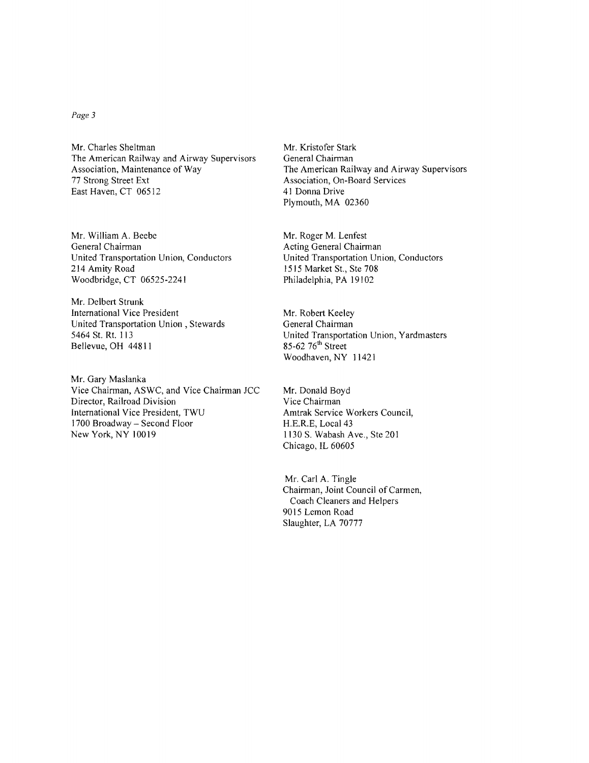## *Page* 3

Mr. Charles Sheltman The American Railway and Airway Supervisors Association, Maintenance of Way 77 Strong Street Ext East Haven, CT 06512

Mr. William A. Beebe General Chairman United Transportation Union, Conductors 214 Amity Road Woodbridge, CT 06525-2241

Mr. Delbert Strunk International Vice President United Transportation Union, Stewards 5464 St. Rt. 113 Bellevue, OH 44811

Mr. Gary Maslanka Vice Chairman, ASWC, and Vice Chairman JCC Director, Railroad Division International Vice President, TWU 1700 Broadway - Second Floor New York, NY 10019

Mr. Kristofer Stark General Chairman The American Railway and Airway Supervisors Association, On-Board Services 41 Donna Drive Plymouth, MA 02360

Mr. Roger M. Lenfest Acting General Chairman United Transportation Union, Conductors 1515 Market St., Ste 708 Philadelphia, PA 19102

Mr. Robert Keeley General Chairman United Transportation Union, Yardmasters  $85-62$   $76<sup>th</sup>$  Street Woodhaven, NY 11421

Mr. Donald Boyd Vice Chairman Amtrak Service Workers Council, H.E.R.E, Local 43 1130 S. Wabash Ave., Ste 201 Chicago, IL 60605

Mr. Carl A. Tingle Chairman, Joint Council of Carmen, Coach Cleaners and Helpers 9015 Lemon Road Slaughter, LA 70777